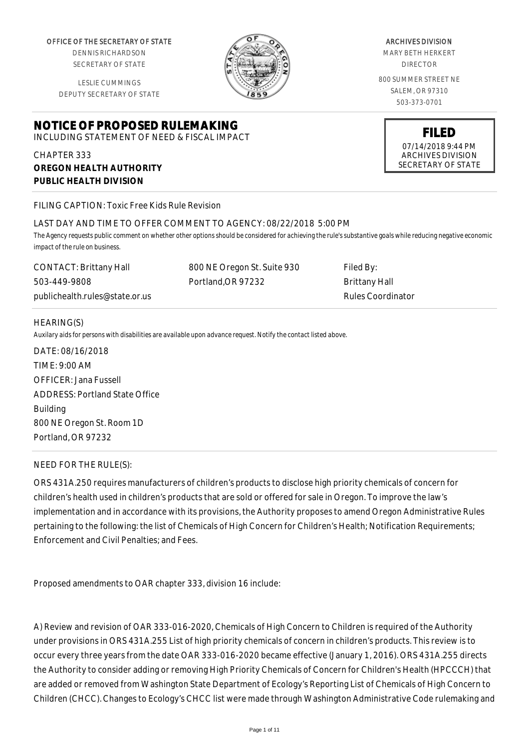OFFICE OF THE SECRETARY OF STATE

DENNIS RICHARDSON SECRETARY OF STATE

LESLIE CUMMINGS DEPUTY SECRETARY OF STATE

# **NOTICE OF PROPOSED RULEMAKING**

INCLUDING STATEMENT OF NEED & FISCAL IMPACT

CHAPTER 333 **OREGON HEALTH AUTHORITY PUBLIC HEALTH DIVISION**

## FILING CAPTION: Toxic Free Kids Rule Revision

## LAST DAY AND TIME TO OFFER COMMENT TO AGENCY: 08/22/2018 5:00 PM

*The Agency requests public comment on whether other options should be considered for achieving the rule's substantive goals while reducing negative economic impact of the rule on business.*

800 NE Oregon St. Suite 930

Portland,OR 97232

CONTACT: Brittany Hall 503-449-9808 publichealth.rules@state.or.us Filed By: Brittany Hall Rules Coordinator

#### HEARING(S)

*Auxilary aids for persons with disabilities are available upon advance request. Notify the contact listed above.*

DATE: 08/16/2018 TIME: 9:00 AM OFFICER: Jana Fussell ADDRESS: Portland State Office Building 800 NE Oregon St. Room 1D Portland, OR 97232

#### NEED FOR THE RULE(S):

ORS 431A.250 requires manufacturers of children's products to disclose high priority chemicals of concern for children's health used in children's products that are sold or offered for sale in Oregon. To improve the law's implementation and in accordance with its provisions, the Authority proposes to amend Oregon Administrative Rules pertaining to the following: the list of Chemicals of High Concern for Children's Health; Notification Requirements; Enforcement and Civil Penalties; and Fees.

Proposed amendments to OAR chapter 333, division 16 include:

A) Review and revision of OAR 333-016-2020, Chemicals of High Concern to Children is required of the Authority under provisions in ORS 431A.255 List of high priority chemicals of concern in children's products. This review is to occur every three years from the date OAR 333-016-2020 became effective (January 1, 2016). ORS 431A.255 directs the Authority to consider adding or removing High Priority Chemicals of Concern for Children's Health (HPCCCH) that are added or removed from Washington State Department of Ecology's Reporting List of Chemicals of High Concern to Children (CHCC). Changes to Ecology's CHCC list were made through Washington Administrative Code rulemaking and

#### ARCHIVES DIVISION

MARY BETH HERKERT DIRECTOR

800 SUMMER STREET NE SALEM, OR 97310 503-373-0701

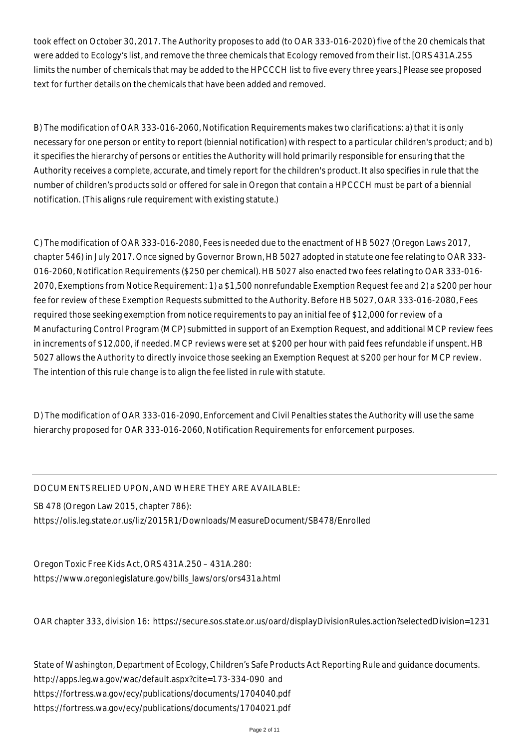took effect on October 30, 2017. The Authority proposes to add (to OAR 333-016-2020) five of the 20 chemicals that were added to Ecology's list, and remove the three chemicals that Ecology removed from their list. [ORS 431A.255 limits the number of chemicals that may be added to the HPCCCH list to five every three years.] Please see proposed text for further details on the chemicals that have been added and removed.

B) The modification of OAR 333-016-2060, Notification Requirements makes two clarifications: a) that it is only necessary for one person or entity to report (biennial notification) with respect to a particular children's product; and b) it specifies the hierarchy of persons or entities the Authority will hold primarily responsible for ensuring that the Authority receives a complete, accurate, and timely report for the children's product. It also specifies in rule that the number of children's products sold or offered for sale in Oregon that contain a HPCCCH must be part of a biennial notification. (This aligns rule requirement with existing statute.)

C) The modification of OAR 333-016-2080, Fees is needed due to the enactment of HB 5027 (Oregon Laws 2017, chapter 546) in July 2017. Once signed by Governor Brown, HB 5027 adopted in statute one fee relating to OAR 333- 016-2060, Notification Requirements (\$250 per chemical). HB 5027 also enacted two fees relating to OAR 333-016- 2070, Exemptions from Notice Requirement: 1) a \$1,500 nonrefundable Exemption Request fee and 2) a \$200 per hour fee for review of these Exemption Requests submitted to the Authority. Before HB 5027, OAR 333-016-2080, Fees required those seeking exemption from notice requirements to pay an initial fee of \$12,000 for review of a Manufacturing Control Program (MCP) submitted in support of an Exemption Request, and additional MCP review fees in increments of \$12,000, if needed. MCP reviews were set at \$200 per hour with paid fees refundable if unspent. HB 5027 allows the Authority to directly invoice those seeking an Exemption Request at \$200 per hour for MCP review. The intention of this rule change is to align the fee listed in rule with statute.

D) The modification of OAR 333-016-2090, Enforcement and Civil Penalties states the Authority will use the same hierarchy proposed for OAR 333-016-2060, Notification Requirements for enforcement purposes.

DOCUMENTS RELIED UPON, AND WHERE THEY ARE AVAILABLE:

SB 478 (Oregon Law 2015, chapter 786):

https://olis.leg.state.or.us/liz/2015R1/Downloads/MeasureDocument/SB478/Enrolled

Oregon Toxic Free Kids Act, ORS 431A.250 – 431A.280: https://www.oregonlegislature.gov/bills\_laws/ors/ors431a.html

OAR chapter 333, division 16: https://secure.sos.state.or.us/oard/displayDivisionRules.action?selectedDivision=1231

State of Washington, Department of Ecology, Children's Safe Products Act Reporting Rule and guidance documents. http://apps.leg.wa.gov/wac/default.aspx?cite=173-334-090 and https://fortress.wa.gov/ecy/publications/documents/1704040.pdf https://fortress.wa.gov/ecy/publications/documents/1704021.pdf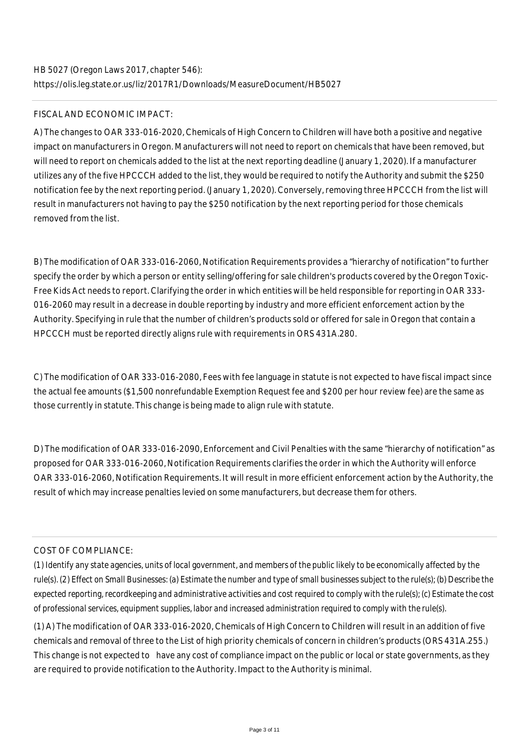# FISCAL AND ECONOMIC IMPACT:

A) The changes to OAR 333-016-2020, Chemicals of High Concern to Children will have both a positive and negative impact on manufacturers in Oregon. Manufacturers will not need to report on chemicals that have been removed, but will need to report on chemicals added to the list at the next reporting deadline (January 1, 2020). If a manufacturer utilizes any of the five HPCCCH added to the list, they would be required to notify the Authority and submit the \$250 notification fee by the next reporting period. (January 1, 2020). Conversely, removing three HPCCCH from the list will result in manufacturers not having to pay the \$250 notification by the next reporting period for those chemicals removed from the list.

B) The modification of OAR 333-016-2060, Notification Requirements provides a "hierarchy of notification" to further specify the order by which a person or entity selling/offering for sale children's products covered by the Oregon Toxic-Free Kids Act needs to report. Clarifying the order in which entities will be held responsible for reporting in OAR 333- 016-2060 may result in a decrease in double reporting by industry and more efficient enforcement action by the Authority. Specifying in rule that the number of children's products sold or offered for sale in Oregon that contain a HPCCCH must be reported directly aligns rule with requirements in ORS 431A.280.

C) The modification of OAR 333-016-2080, Fees with fee language in statute is not expected to have fiscal impact since the actual fee amounts (\$1,500 nonrefundable Exemption Request fee and \$200 per hour review fee) are the same as those currently in statute. This change is being made to align rule with statute.

D) The modification of OAR 333-016-2090, Enforcement and Civil Penalties with the same "hierarchy of notification" as proposed for OAR 333-016-2060, Notification Requirements clarifies the order in which the Authority will enforce OAR 333-016-2060, Notification Requirements. It will result in more efficient enforcement action by the Authority, the result of which may increase penalties levied on some manufacturers, but decrease them for others.

# COST OF COMPLIANCE:

*(1) Identify any state agencies, units of local government, and members of the public likely to be economically affected by the rule(s). (2) Effect on Small Businesses: (a) Estimate the number and type of small businesses subject to the rule(s); (b) Describe the expected reporting, recordkeeping and administrative activities and cost required to comply with the rule(s); (c) Estimate the cost of professional services, equipment supplies, labor and increased administration required to comply with the rule(s).*

(1) A) The modification of OAR 333-016-2020, Chemicals of High Concern to Children will result in an addition of five chemicals and removal of three to the List of high priority chemicals of concern in children's products (ORS 431A.255.) This change is not expected to have any cost of compliance impact on the public or local or state governments, as they are required to provide notification to the Authority. Impact to the Authority is minimal.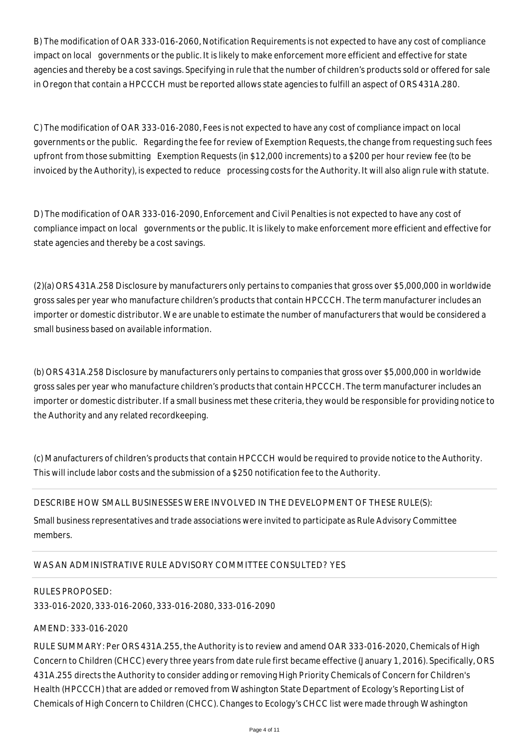B) The modification of OAR 333-016-2060, Notification Requirements is not expected to have any cost of compliance impact on local governments or the public. It is likely to make enforcement more efficient and effective for state agencies and thereby be a cost savings. Specifying in rule that the number of children's products sold or offered for sale in Oregon that contain a HPCCCH must be reported allows state agencies to fulfill an aspect of ORS 431A.280.

C) The modification of OAR 333-016-2080, Fees is not expected to have any cost of compliance impact on local governments or the public. Regarding the fee for review of Exemption Requests, the change from requesting such fees upfront from those submitting Exemption Requests (in \$12,000 increments) to a \$200 per hour review fee (to be invoiced by the Authority), is expected to reduce processing costs for the Authority. It will also align rule with statute.

D) The modification of OAR 333-016-2090, Enforcement and Civil Penalties is not expected to have any cost of compliance impact on local governments or the public. It is likely to make enforcement more efficient and effective for state agencies and thereby be a cost savings.

(2)(a) ORS 431A.258 Disclosure by manufacturers only pertains to companies that gross over \$5,000,000 in worldwide gross sales per year who manufacture children's products that contain HPCCCH. The term manufacturer includes an importer or domestic distributor. We are unable to estimate the number of manufacturers that would be considered a small business based on available information.

(b) ORS 431A.258 Disclosure by manufacturers only pertains to companies that gross over \$5,000,000 in worldwide gross sales per year who manufacture children's products that contain HPCCCH. The term manufacturer includes an importer or domestic distributer. If a small business met these criteria, they would be responsible for providing notice to the Authority and any related recordkeeping.

(c) Manufacturers of children's products that contain HPCCCH would be required to provide notice to the Authority. This will include labor costs and the submission of a \$250 notification fee to the Authority.

# DESCRIBE HOW SMALL BUSINESSES WERE INVOLVED IN THE DEVELOPMENT OF THESE RULE(S):

Small business representatives and trade associations were invited to participate as Rule Advisory Committee members.

# WAS AN ADMINISTRATIVE RULE ADVISORY COMMITTEE CONSULTED? YES

#### RULES PROPOSED:

333-016-2020, 333-016-2060, 333-016-2080, 333-016-2090

### AMEND: 333-016-2020

RULE SUMMARY: Per ORS 431A.255, the Authority is to review and amend OAR 333-016-2020, Chemicals of High Concern to Children (CHCC) every three years from date rule first became effective (January 1, 2016). Specifically, ORS 431A.255 directs the Authority to consider adding or removing High Priority Chemicals of Concern for Children's Health (HPCCCH) that are added or removed from Washington State Department of Ecology's Reporting List of Chemicals of High Concern to Children (CHCC). Changes to Ecology's CHCC list were made through Washington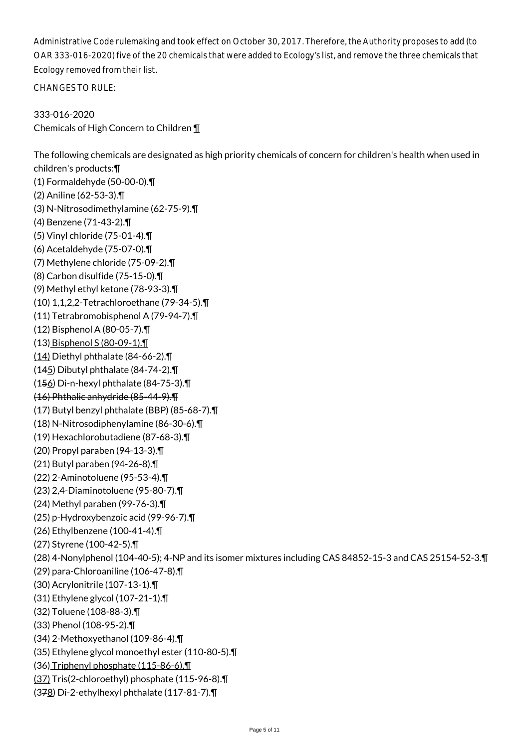Administrative Code rulemaking and took effect on October 30, 2017. Therefore, the Authority proposes to add (to OAR 333-016-2020) five of the 20 chemicals that were added to Ecology's list, and remove the three chemicals that Ecology removed from their list.

CHANGES TO RULE:

333-016-2020 Chemicals of High Concern to Children ¶

The following chemicals are designated as high priority chemicals of concern for children's health when used in children's products:¶ (1) Formaldehyde (50-00-0).¶ (2) Aniline (62-53-3).¶ (3) N-Nitrosodimethylamine (62-75-9).¶ (4) Benzene (71-43-2).¶ (5) Vinyl chloride (75-01-4).¶ (6) Acetaldehyde (75-07-0).¶ (7) Methylene chloride (75-09-2).¶ (8) Carbon disulfide (75-15-0).¶ (9) Methyl ethyl ketone (78-93-3).¶ (10) 1,1,2,2-Tetrachloroethane (79-34-5).¶ (11) Tetrabromobisphenol A (79-94-7).¶ (12) Bisphenol A (80-05-7).¶ (13) Bisphenol S (80-09-1).¶ (14) Diethyl phthalate (84-66-2).¶ (145) Dibutyl phthalate (84-74-2).¶ (156) Di-n-hexyl phthalate (84-75-3).¶ (16) Phthalic anhydride (85-44-9).¶ (17) Butyl benzyl phthalate (BBP) (85-68-7).¶ (18) N-Nitrosodiphenylamine (86-30-6).¶ (19) Hexachlorobutadiene (87-68-3).¶ (20) Propyl paraben (94-13-3).¶ (21) Butyl paraben (94-26-8).¶ (22) 2-Aminotoluene (95-53-4).¶ (23) 2,4-Diaminotoluene (95-80-7).¶ (24) Methyl paraben (99-76-3).¶ (25) p-Hydroxybenzoic acid (99-96-7).¶ (26) Ethylbenzene (100-41-4).¶ (27) Styrene (100-42-5).¶ (28) 4-Nonylphenol (104-40-5); 4-NP and its isomer mixtures including CAS 84852-15-3 and CAS 25154-52-3.¶ (29) para-Chloroaniline (106-47-8).¶ (30) Acrylonitrile (107-13-1).¶ (31) Ethylene glycol (107-21-1).¶ (32) Toluene (108-88-3).¶ (33) Phenol (108-95-2).¶ (34) 2-Methoxyethanol (109-86-4).¶ (35) Ethylene glycol monoethyl ester (110-80-5).¶ (36) Triphenyl phosphate (115-86-6).¶ (37) Tris(2-chloroethyl) phosphate (115-96-8).¶ (378) Di-2-ethylhexyl phthalate (117-81-7).¶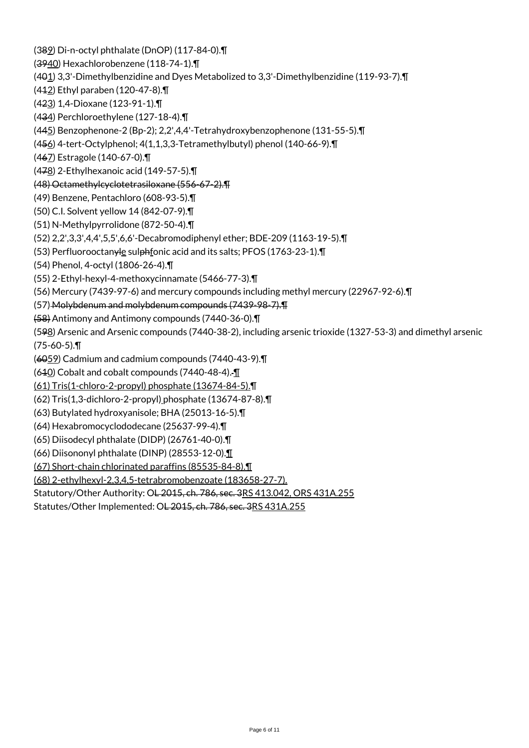(389) Di-n-octyl phthalate (DnOP) (117-84-0).¶ (3940) Hexachlorobenzene (118-74-1).¶ (401) 3,3'-Dimethylbenzidine and Dyes Metabolized to 3,3'-Dimethylbenzidine (119-93-7).¶ (412) Ethyl paraben (120-47-8).¶ (423) 1,4-Dioxane (123-91-1).¶ (434) Perchloroethylene (127-18-4).¶ (445) Benzophenone-2 (Bp-2); 2,2',4,4'-Tetrahydroxybenzophenone (131-55-5).¶ (456) 4-tert-Octylphenol; 4(1,1,3,3-Tetramethylbutyl) phenol (140-66-9).¶ (467) Estragole (140-67-0).¶ (478) 2-Ethylhexanoic acid (149-57-5).¶ (48) Octamethylcyclotetrasiloxane (556-67-2).¶ (49) Benzene, Pentachloro (608-93-5).¶ (50) C.I. Solvent yellow 14 (842-07-9).¶ (51) N-Methylpyrrolidone (872-50-4).¶ (52) 2,2',3,3',4,4',5,5',6,6'-Decabromodiphenyl ether; BDE-209 (1163-19-5).¶ (53) Perfluorooctanyle sulphfonic acid and its salts; PFOS (1763-23-1).¶ (54) Phenol, 4-octyl (1806-26-4).¶ (55) 2-Ethyl-hexyl-4-methoxycinnamate (5466-77-3).¶ (56) Mercury (7439-97-6) and mercury compounds including methyl mercury (22967-92-6).¶ (57) Molybdenum and molybdenum compounds (7439-98-7).¶ (58) Antimony and Antimony compounds (7440-36-0).¶ (598) Arsenic and Arsenic compounds (7440-38-2), including arsenic trioxide (1327-53-3) and dimethyl arsenic (75-60-5).¶ (6059) Cadmium and cadmium compounds (7440-43-9).¶  $(640)$  Cobalt and cobalt compounds (7440-48-4). $\P$ (61) Tris(1-chloro-2-propyl) phosphate (13674-84-5).¶ (62) Tris(1,3-dichloro-2-propyl) phosphate (13674-87-8).¶ (63) Butylated hydroxyanisole; BHA (25013-16-5).¶ (64) Hexabromocyclododecane (25637-99-4).¶ (65) Diisodecyl phthalate (DIDP) (26761-40-0).¶ (66) Diisononyl phthalate (DINP) (28553-12-0).¶ (67) Short-chain chlorinated paraffins (85535-84-8).¶ (68) 2-ethylhexyl-2,3,4,5-tetrabromobenzoate (183658-27-7). Statutory/Other Authority: OL 2015, ch. 786, sec. 3RS 413.042, ORS 431A.255 Statutes/Other Implemented: OL 2015, ch. 786, sec. 3RS 431A.255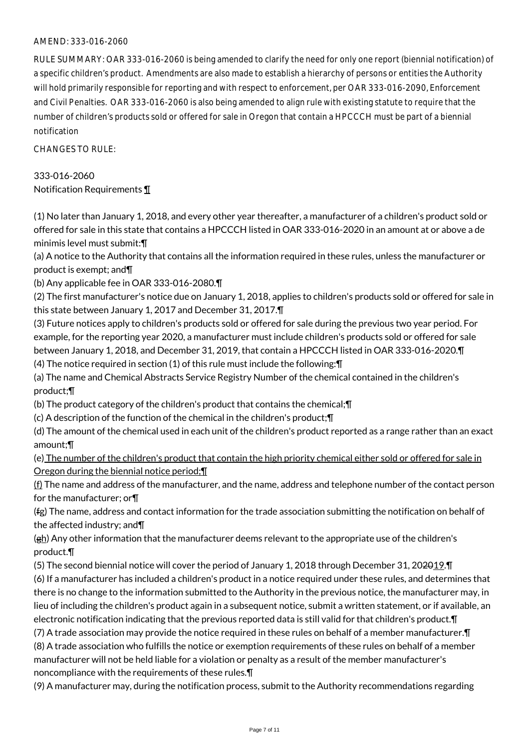# AMEND: 333-016-2060

RULE SUMMARY: OAR 333-016-2060 is being amended to clarify the need for only one report (biennial notification) of a specific children's product. Amendments are also made to establish a hierarchy of persons or entities the Authority will hold primarily responsible for reporting and with respect to enforcement, per OAR 333-016-2090, Enforcement and Civil Penalties. OAR 333-016-2060 is also being amended to align rule with existing statute to require that the number of children's products sold or offered for sale in Oregon that contain a HPCCCH must be part of a biennial notification

CHANGES TO RULE:

333-016-2060 Notification Requirements ¶

(1) No later than January 1, 2018, and every other year thereafter, a manufacturer of a children's product sold or offered for sale in this state that contains a HPCCCH listed in OAR 333-016-2020 in an amount at or above a de minimis level must submit:¶

(a) A notice to the Authority that contains all the information required in these rules, unless the manufacturer or product is exempt; and¶

(b) Any applicable fee in OAR 333-016-2080.¶

(2) The first manufacturer's notice due on January 1, 2018, applies to children's products sold or offered for sale in this state between January 1, 2017 and December 31, 2017.¶

(3) Future notices apply to children's products sold or offered for sale during the previous two year period. For example, for the reporting year 2020, a manufacturer must include children's products sold or offered for sale between January 1, 2018, and December 31, 2019, that contain a HPCCCH listed in OAR 333-016-2020.¶

(4) The notice required in section (1) of this rule must include the following:¶

(a) The name and Chemical Abstracts Service Registry Number of the chemical contained in the children's product;¶

(b) The product category of the children's product that contains the chemical;¶

(c) A description of the function of the chemical in the children's product;¶

(d) The amount of the chemical used in each unit of the children's product reported as a range rather than an exact amount;¶

(e) The number of the children's product that contain the high priority chemical either sold or offered for sale in Oregon during the biennial notice period;¶

 $(f)$  The name and address of the manufacturer, and the name, address and telephone number of the contact person for the manufacturer; or¶

(fg) The name, address and contact information for the trade association submitting the notification on behalf of the affected industry; and¶

(gh) Any other information that the manufacturer deems relevant to the appropriate use of the children's product.¶

(5) The second biennial notice will cover the period of January 1, 2018 through December 31, 202019.¶

(6) If a manufacturer has included a children's product in a notice required under these rules, and determines that there is no change to the information submitted to the Authority in the previous notice, the manufacturer may, in lieu of including the children's product again in a subsequent notice, submit a written statement, or if available, an electronic notification indicating that the previous reported data is still valid for that children's product.¶

(7) A trade association may provide the notice required in these rules on behalf of a member manufacturer.¶ (8) A trade association who fulfills the notice or exemption requirements of these rules on behalf of a member manufacturer will not be held liable for a violation or penalty as a result of the member manufacturer's noncompliance with the requirements of these rules.¶

(9) A manufacturer may, during the notification process, submit to the Authority recommendations regarding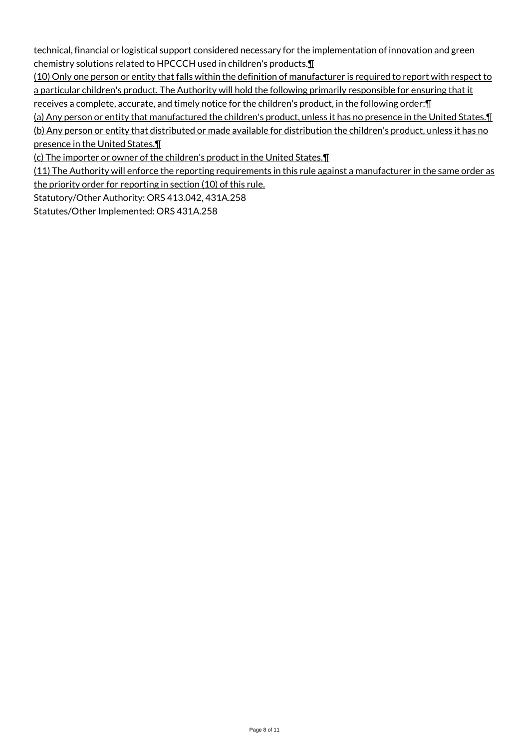technical, financial or logistical support considered necessary for the implementation of innovation and green chemistry solutions related to HPCCCH used in children's products.¶

(10) Only one person or entity that falls within the definition of manufacturer is required to report with respect to a particular children's product. The Authority will hold the following primarily responsible for ensuring that it receives a complete, accurate, and timely notice for the children's product, in the following order:¶

(a) Any person or entity that manufactured the children's product, unless it has no presence in the United States.¶ (b) Any person or entity that distributed or made available for distribution the children's product, unless it has no presence in the United States.¶

(c) The importer or owner of the children's product in the United States.¶

(11) The Authority will enforce the reporting requirements in this rule against a manufacturer in the same order as the priority order for reporting in section (10) of this rule.

Statutory/Other Authority: ORS 413.042, 431A.258

Statutes/Other Implemented: ORS 431A.258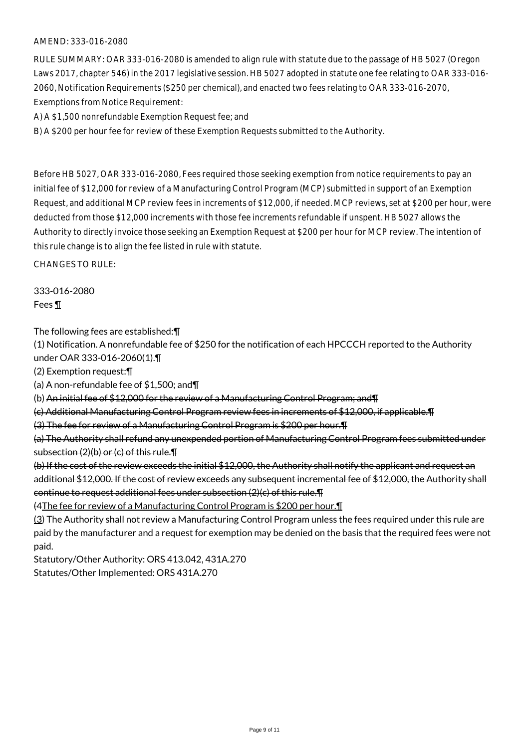# AMEND: 333-016-2080

RULE SUMMARY: OAR 333-016-2080 is amended to align rule with statute due to the passage of HB 5027 (Oregon Laws 2017, chapter 546) in the 2017 legislative session. HB 5027 adopted in statute one fee relating to OAR 333-016- 2060, Notification Requirements (\$250 per chemical), and enacted two fees relating to OAR 333-016-2070, Exemptions from Notice Requirement:

A) A \$1,500 nonrefundable Exemption Request fee; and

B) A \$200 per hour fee for review of these Exemption Requests submitted to the Authority.

Before HB 5027, OAR 333-016-2080, Fees required those seeking exemption from notice requirements to pay an initial fee of \$12,000 for review of a Manufacturing Control Program (MCP) submitted in support of an Exemption Request, and additional MCP review fees in increments of \$12,000, if needed. MCP reviews, set at \$200 per hour, were deducted from those \$12,000 increments with those fee increments refundable if unspent. HB 5027 allows the Authority to directly invoice those seeking an Exemption Request at \$200 per hour for MCP review. The intention of this rule change is to align the fee listed in rule with statute.

CHANGES TO RULE:

333-016-2080 Fees ¶

The following fees are established:¶

(1) Notification. A nonrefundable fee of \$250 for the notification of each HPCCCH reported to the Authority under OAR 333-016-2060(1).¶

(2) Exemption request:¶

(a) A non-refundable fee of \$1,500; and¶

(b) An initial fee of \$12,000 for the review of a Manufacturing Control Program; and¶

(c) Additional Manufacturing Control Program review fees in increments of \$12,000, if applicable.¶

(3) The fee for review of a Manufacturing Control Program is \$200 per hour.¶

(a) The Authority shall refund any unexpended portion of Manufacturing Control Program fees submitted under subsection (2)(b) or (c) of this rule.¶

(b) If the cost of the review exceeds the initial \$12,000, the Authority shall notify the applicant and request an additional \$12,000. If the cost of review exceeds any subsequent incremental fee of \$12,000, the Authority shall continue to request additional fees under subsection (2)(c) of this rule.¶

(4The fee for review of a Manufacturing Control Program is \$200 per hour.¶

(3) The Authority shall not review a Manufacturing Control Program unless the fees required under this rule are paid by the manufacturer and a request for exemption may be denied on the basis that the required fees were not paid.

Statutory/Other Authority: ORS 413.042, 431A.270 Statutes/Other Implemented: ORS 431A.270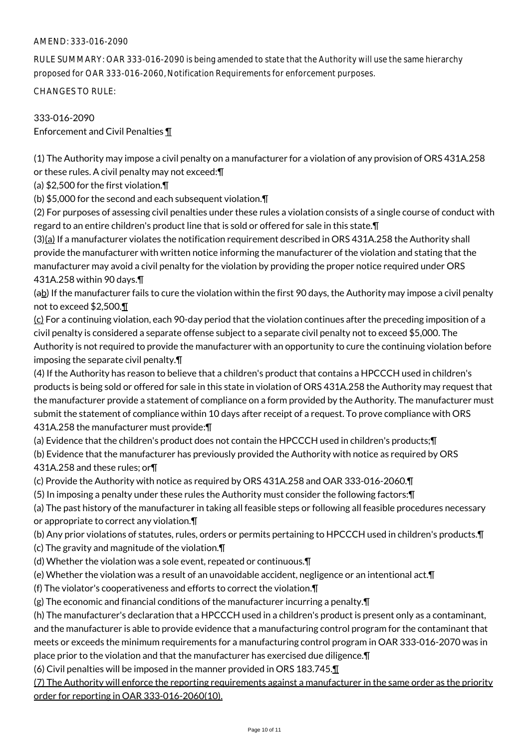# AMEND: 333-016-2090

RULE SUMMARY: OAR 333-016-2090 is being amended to state that the Authority will use the same hierarchy proposed for OAR 333-016-2060, Notification Requirements for enforcement purposes.

CHANGES TO RULE:

# 333-016-2090 Enforcement and Civil Penalties ¶

(1) The Authority may impose a civil penalty on a manufacturer for a violation of any provision of ORS 431A.258 or these rules. A civil penalty may not exceed:¶

(a) \$2,500 for the first violation.¶

(b) \$5,000 for the second and each subsequent violation.¶

(2) For purposes of assessing civil penalties under these rules a violation consists of a single course of conduct with regard to an entire children's product line that is sold or offered for sale in this state.¶

(3)(a) If a manufacturer violates the notification requirement described in ORS 431A.258 the Authority shall provide the manufacturer with written notice informing the manufacturer of the violation and stating that the manufacturer may avoid a civil penalty for the violation by providing the proper notice required under ORS 431A.258 within 90 days.¶

(ab) If the manufacturer fails to cure the violation within the first 90 days, the Authority may impose a civil penalty not to exceed \$2,500.¶

 $(c)$  For a continuing violation, each 90-day period that the violation continues after the preceding imposition of a civil penalty is considered a separate offense subject to a separate civil penalty not to exceed \$5,000. The Authority is not required to provide the manufacturer with an opportunity to cure the continuing violation before imposing the separate civil penalty.¶

(4) If the Authority has reason to believe that a children's product that contains a HPCCCH used in children's products is being sold or offered for sale in this state in violation of ORS 431A.258 the Authority may request that the manufacturer provide a statement of compliance on a form provided by the Authority. The manufacturer must submit the statement of compliance within 10 days after receipt of a request. To prove compliance with ORS 431A.258 the manufacturer must provide:¶

(a) Evidence that the children's product does not contain the HPCCCH used in children's products;¶

(b) Evidence that the manufacturer has previously provided the Authority with notice as required by ORS 431A.258 and these rules; or¶

(c) Provide the Authority with notice as required by ORS 431A.258 and OAR 333-016-2060.¶

(5) In imposing a penalty under these rules the Authority must consider the following factors:¶

(a) The past history of the manufacturer in taking all feasible steps or following all feasible procedures necessary or appropriate to correct any violation.¶

(b) Any prior violations of statutes, rules, orders or permits pertaining to HPCCCH used in children's products.¶

(c) The gravity and magnitude of the violation.¶

(d) Whether the violation was a sole event, repeated or continuous.¶

(e) Whether the violation was a result of an unavoidable accident, negligence or an intentional act.¶

(f) The violator's cooperativeness and efforts to correct the violation.¶

(g) The economic and financial conditions of the manufacturer incurring a penalty.¶

(h) The manufacturer's declaration that a HPCCCH used in a children's product is present only as a contaminant, and the manufacturer is able to provide evidence that a manufacturing control program for the contaminant that meets or exceeds the minimum requirements for a manufacturing control program in OAR 333-016-2070 was in place prior to the violation and that the manufacturer has exercised due diligence.¶

(6) Civil penalties will be imposed in the manner provided in ORS 183.745.¶

(7) The Authority will enforce the reporting requirements against a manufacturer in the same order as the priority order for reporting in OAR 333-016-2060(10).